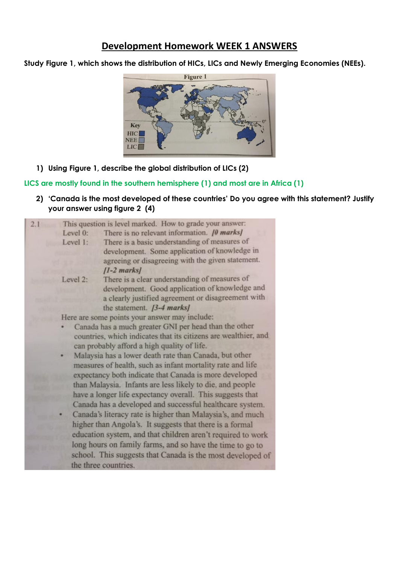## **Development Homework WEEK 1 ANSWERS**

**Study Figure 1, which shows the distribution of HICs, LICs and Newly Emerging Economies (NEEs).**



**1) Using Figure 1, describe the global distribution of LICs (2)**

## **LICS are mostly found in the southern hemisphere (1) and most are in Africa (1)**

**2) 'Canada is the most developed of these countries' Do you agree with this statement? Justify your answer using figure 2 (4)**

| 2.1 |                                                                                                                                                                                                                                                                                                          | This question is level marked. How to grade your answer:   |                                                            |                                                           |                                                             |
|-----|----------------------------------------------------------------------------------------------------------------------------------------------------------------------------------------------------------------------------------------------------------------------------------------------------------|------------------------------------------------------------|------------------------------------------------------------|-----------------------------------------------------------|-------------------------------------------------------------|
|     | Level 0:                                                                                                                                                                                                                                                                                                 | There is no relevant information. [0 marks]                |                                                            |                                                           |                                                             |
|     | Level 1:                                                                                                                                                                                                                                                                                                 | There is a basic understanding of measures of              |                                                            |                                                           |                                                             |
|     |                                                                                                                                                                                                                                                                                                          | development. Some application of knowledge in              |                                                            |                                                           |                                                             |
|     |                                                                                                                                                                                                                                                                                                          | agreeing or disagreeing with the given statement.          |                                                            |                                                           |                                                             |
|     |                                                                                                                                                                                                                                                                                                          | $[1-2$ marks $]$                                           |                                                            |                                                           |                                                             |
|     | Level 2:                                                                                                                                                                                                                                                                                                 | There is a clear understanding of measures of              |                                                            |                                                           |                                                             |
|     |                                                                                                                                                                                                                                                                                                          | development. Good application of knowledge and             |                                                            |                                                           |                                                             |
|     |                                                                                                                                                                                                                                                                                                          | a clearly justified agreement or disagreement with         |                                                            |                                                           |                                                             |
|     |                                                                                                                                                                                                                                                                                                          | the statement. $[3-4$ marks]                               |                                                            |                                                           |                                                             |
|     | Here are some points your answer may include:                                                                                                                                                                                                                                                            |                                                            |                                                            |                                                           |                                                             |
|     | Canada has a much greater GNI per head than the other<br>countries, which indicates that its citizens are wealthier, and                                                                                                                                                                                 |                                                            |                                                            |                                                           |                                                             |
|     |                                                                                                                                                                                                                                                                                                          |                                                            | can probably afford a high quality of life.                |                                                           |                                                             |
|     | Malaysia has a lower death rate than Canada, but other<br>measures of health, such as infant mortality rate and life<br>expectancy both indicate that Canada is more developed<br>than Malaysia. Infants are less likely to die, and people<br>have a longer life expectancy overall. This suggests that |                                                            |                                                            |                                                           |                                                             |
|     |                                                                                                                                                                                                                                                                                                          |                                                            | Canada has a developed and successful healthcare system.   |                                                           |                                                             |
|     |                                                                                                                                                                                                                                                                                                          |                                                            | Canada's literacy rate is higher than Malaysia's, and much |                                                           |                                                             |
|     |                                                                                                                                                                                                                                                                                                          |                                                            | higher than Angola's. It suggests that there is a formal   |                                                           |                                                             |
|     |                                                                                                                                                                                                                                                                                                          |                                                            |                                                            |                                                           | education system, and that children aren't required to work |
|     |                                                                                                                                                                                                                                                                                                          |                                                            |                                                            | long hours on family farms, and so have the time to go to |                                                             |
|     |                                                                                                                                                                                                                                                                                                          | school. This suggests that Canada is the most developed of |                                                            |                                                           |                                                             |
|     |                                                                                                                                                                                                                                                                                                          |                                                            | the three countries.                                       |                                                           |                                                             |
|     |                                                                                                                                                                                                                                                                                                          |                                                            |                                                            |                                                           |                                                             |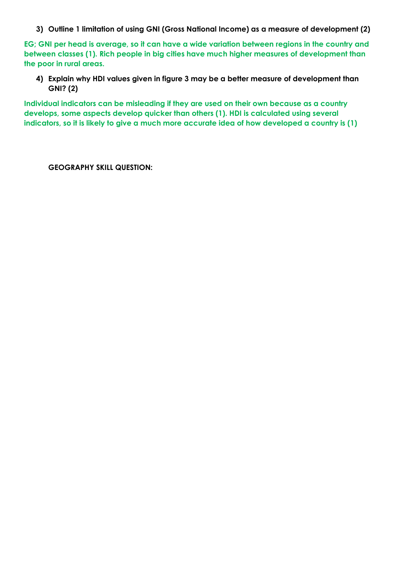**3) Outline 1 limitation of using GNI (Gross National Income) as a measure of development (2)**

**EG; GNI per head is average, so it can have a wide variation between regions in the country and between classes (1). Rich people in big cities have much higher measures of development than the poor in rural areas.** 

**4) Explain why HDI values given in figure 3 may be a better measure of development than GNI? (2)** 

**Individual indicators can be misleading if they are used on their own because as a country develops, some aspects develop quicker than others (1). HDI is calculated using several indicators, so it is likely to give a much more accurate idea of how developed a country is (1)**

**GEOGRAPHY SKILL QUESTION:**